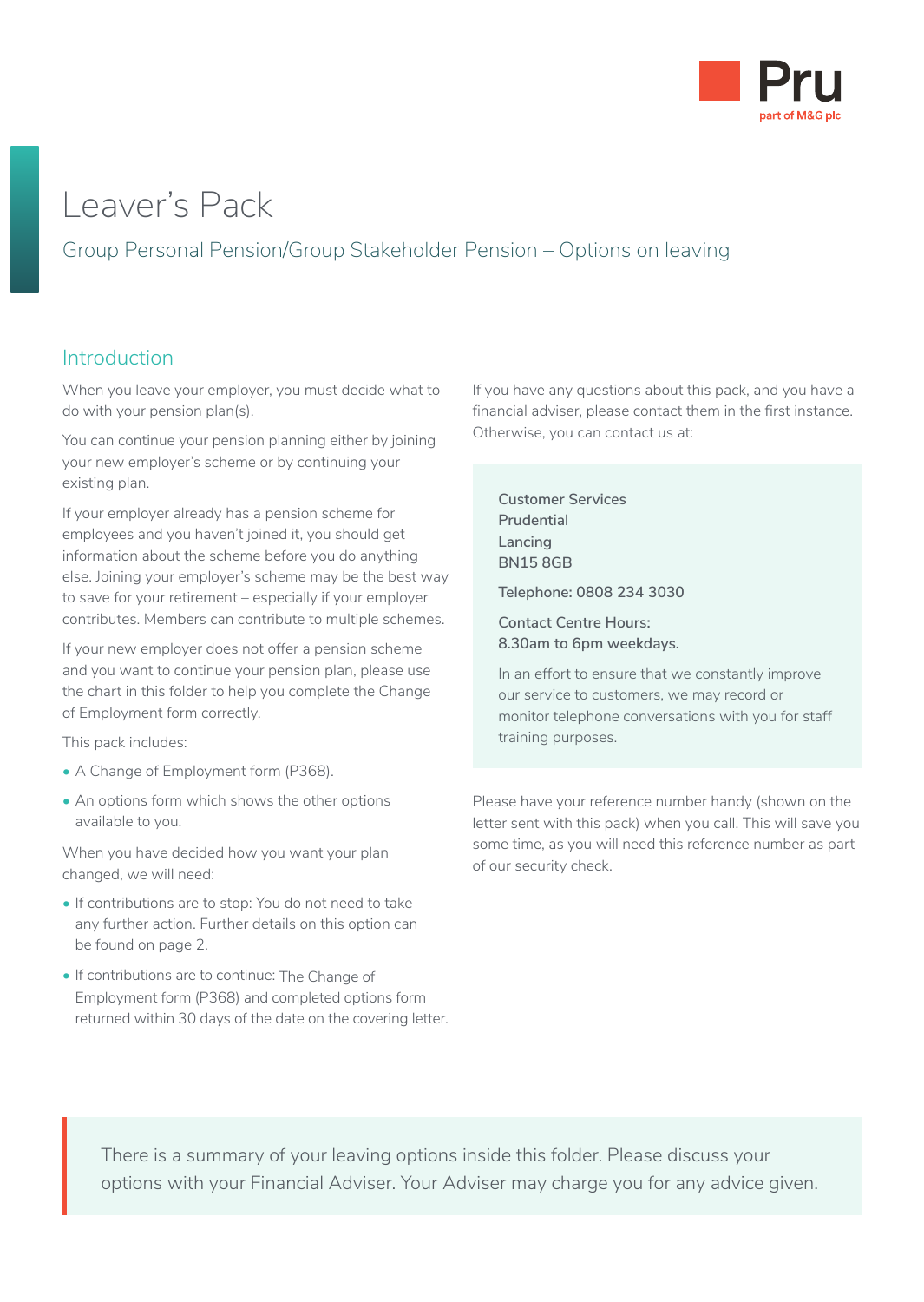

# Leaver's Pack

# Group Personal Pension/Group Stakeholder Pension – Options on leaving

### Introduction

When you leave your employer, you must decide what to do with your pension plan(s).

You can continue your pension planning either by joining your new employer's scheme or by continuing your existing plan.

If your employer already has a pension scheme for employees and you haven't joined it, you should get information about the scheme before you do anything else. Joining your employer's scheme may be the best way to save for your retirement – especially if your employer contributes. Members can contribute to multiple schemes.

If your new employer does not offer a pension scheme and you want to continue your pension plan, please use the chart in this folder to help you complete the Change of Employment form correctly.

This pack includes:

- A Change of Employment form (P368).
- An options form which shows the other options available to you.

When you have decided how you want your plan changed, we will need:

- If contributions are to stop: You do not need to take any further action. Further details on this option can be found on page 2.
- If contributions are to continue: The Change of Employment form (P368) and completed options form returned within 30 days of the date on the covering letter.

If you have any questions about this pack, and you have a financial adviser, please contact them in the first instance. Otherwise, you can contact us at:

**Customer Services Prudential Lancing BN15 8GB**

**Telephone: 0808 234 3030**

**Contact Centre Hours: 8.30am to 6pm weekdays.**

In an effort to ensure that we constantly improve our service to customers, we may record or monitor telephone conversations with you for staff training purposes.

Please have your reference number handy (shown on the letter sent with this pack) when you call. This will save you some time, as you will need this reference number as part of our security check.

There is a summary of your leaving options inside this folder. Please discuss your options with your Financial Adviser. Your Adviser may charge you for any advice given.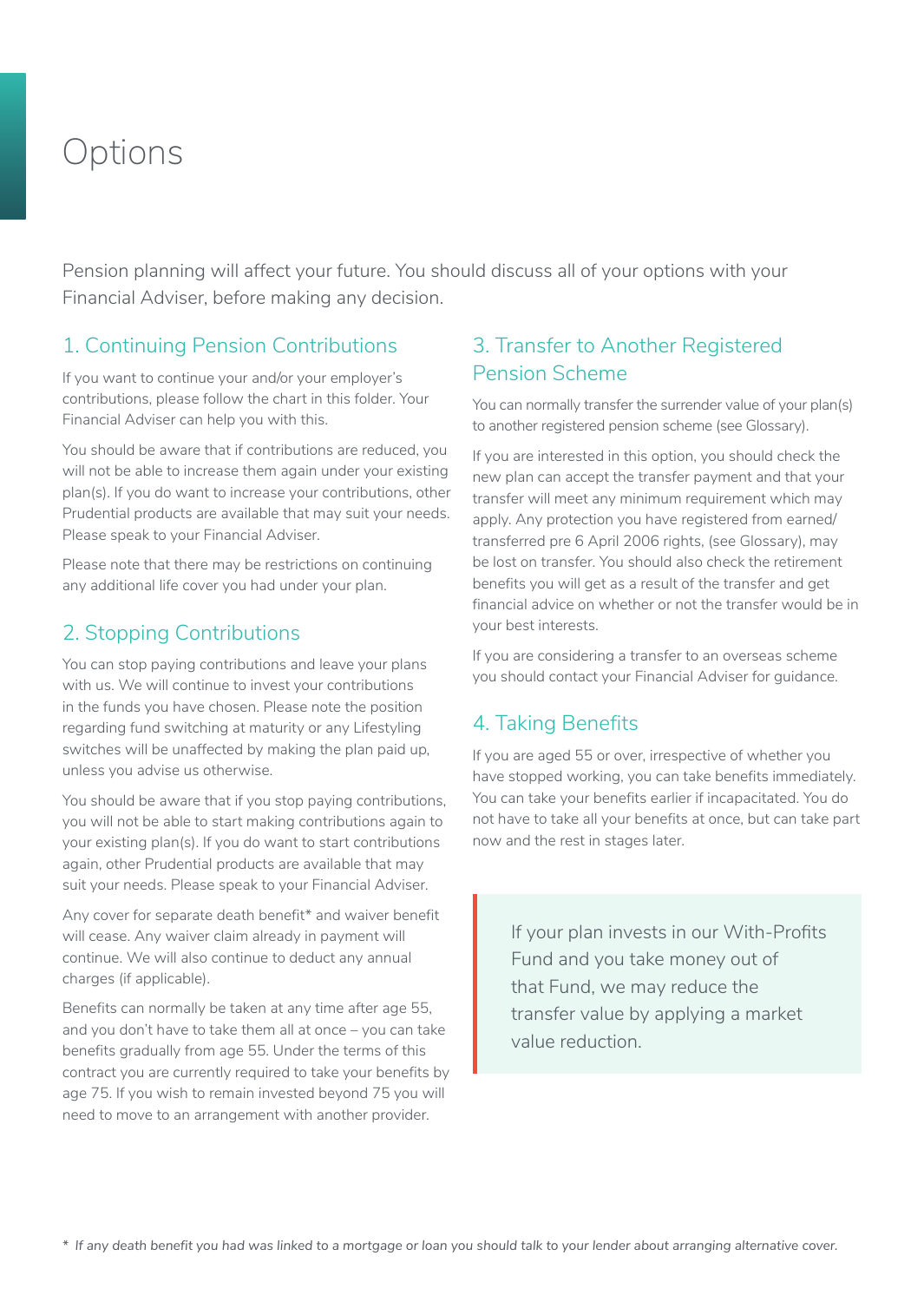# **Options**

Pension planning will affect your future. You should discuss all of your options with your Financial Adviser, before making any decision.

# 1. Continuing Pension Contributions

If you want to continue your and/or your employer's contributions, please follow the chart in this folder. Your Financial Adviser can help you with this.

You should be aware that if contributions are reduced, you will not be able to increase them again under your existing plan(s). If you do want to increase your contributions, other Prudential products are available that may suit your needs. Please speak to your Financial Adviser.

Please note that there may be restrictions on continuing any additional life cover you had under your plan.

### 2. Stopping Contributions

You can stop paying contributions and leave your plans with us. We will continue to invest your contributions in the funds you have chosen. Please note the position regarding fund switching at maturity or any Lifestyling switches will be unaffected by making the plan paid up, unless you advise us otherwise.

You should be aware that if you stop paying contributions, you will not be able to start making contributions again to your existing plan(s). If you do want to start contributions again, other Prudential products are available that may suit your needs. Please speak to your Financial Adviser.

Any cover for separate death benefit\* and waiver benefit will cease. Any waiver claim already in payment will continue. We will also continue to deduct any annual charges (if applicable).

Benefits can normally be taken at any time after age 55, and you don't have to take them all at once – you can take benefits gradually from age 55. Under the terms of this contract you are currently required to take your benefits by age 75. If you wish to remain invested beyond 75 you will need to move to an arrangement with another provider.

## 3. Transfer to Another Registered Pension Scheme

You can normally transfer the surrender value of your plan(s) to another registered pension scheme (see Glossary).

If you are interested in this option, you should check the new plan can accept the transfer payment and that your transfer will meet any minimum requirement which may apply. Any protection you have registered from earned/ transferred pre 6 April 2006 rights, (see Glossary), may be lost on transfer. You should also check the retirement benefits you will get as a result of the transfer and get financial advice on whether or not the transfer would be in your best interests.

If you are considering a transfer to an overseas scheme you should contact your Financial Adviser for guidance.

# 4. Taking Benefits

If you are aged 55 or over, irrespective of whether you have stopped working, you can take benefits immediately. You can take your benefits earlier if incapacitated. You do not have to take all your benefits at once, but can take part now and the rest in stages later.

> If your plan invests in our With-Profits Fund and you take money out of that Fund, we may reduce the transfer value by applying a market value reduction.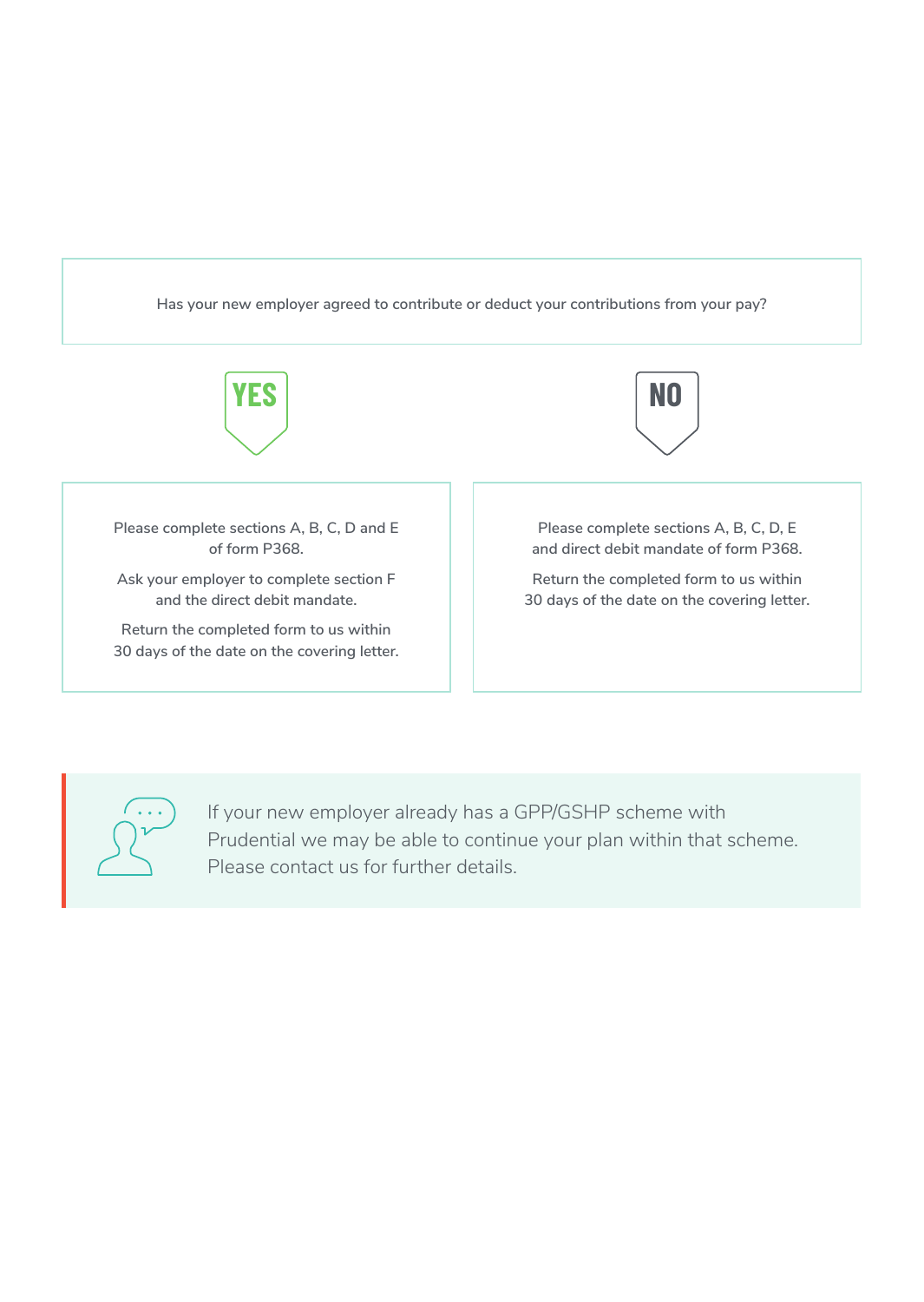**Has your new employer agreed to contribute or deduct your contributions from your pay?**





If your new employer already has a GPP/GSHP scheme with Prudential we may be able to continue your plan within that scheme. Please contact us for further details.